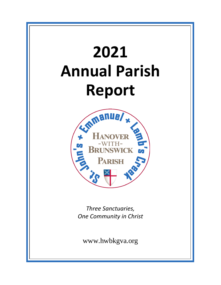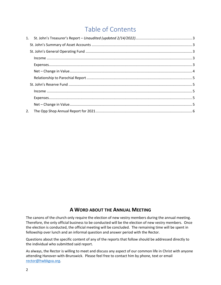# Table of Contents

| 1. |  |
|----|--|
|    |  |
|    |  |
|    |  |
|    |  |
|    |  |
|    |  |
|    |  |
|    |  |
|    |  |
|    |  |
| 2. |  |

### **A WORD ABOUT THE ANNUAL MEETING**

The canons of the church only require the election of new vestry members during the annual meeting. Therefore, the only official business to be conducted will be the election of new vestry members. Once the election is conducted, the official meeting will be concluded. The remaining time will be spent in fellowship over lunch and an informal question and answer period with the Rector.

Questions about the specific content of any of the reports that follow should be addressed directly to the individual who submitted said report.

As always, the Rector is willing to meet and discuss any aspect of our common life in Christ with anyone attending Hanover-with-Brunswick. Please feel free to contact him by phone, text or email [rector@hwbkgva.org.](mailto:rector@hwbkgva.org)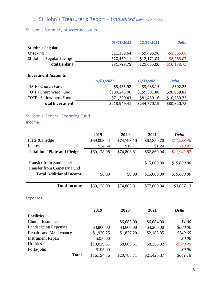# 1. St. John's Treasurer's Report – *Unaudited (updated 2/14/2022)*

### St. John's Summary of Asset Accounts

|                               | 01/01/2021   | 12/31/2021   | <b>Delta</b>  |
|-------------------------------|--------------|--------------|---------------|
| St John's Regular             |              |              |               |
| Checking                      | \$11,359.64  | \$9,493.96   | $-$1,865.68$  |
| St. John's Regular Savings    | \$20,439.11  | \$12,171.04  | $-58,268.07$  |
| <b>Total Banking</b>          | \$31,798.75  | \$21,665.00  | $-$10,133.75$ |
| <b>Investment Accounts</b>    |              |              |               |
|                               | 01/01/2021   | 12/31/2021   | <b>Delta</b>  |
| <b>TOTF - Church Fund</b>     | \$3,485.92   | \$3,988.15   | \$502.23      |
| <b>TOTF - Churchyard Fund</b> | \$139,243.06 | \$159,301.88 | \$20,058.82   |
| <b>TOTF - Endowment Fund</b>  | \$71,220.43  | \$81,480.16  | \$10,259.73   |
| <b>Total Investment</b>       | \$213,949.41 | \$244,770.19 | \$30,820.78   |
|                               |              |              |               |

### St. John's General Operating Fund

Income

|                                                                     | 2019        | 2020        | 2021        | <b>Delta</b>  |
|---------------------------------------------------------------------|-------------|-------------|-------------|---------------|
| Plate & Pledge                                                      | \$69,093.44 | \$74,793.10 | \$62,859.70 | $-$11,933.40$ |
| Interest                                                            | \$34.64     | \$10.71     | \$1.24      | $-$ \$9.47    |
| <b>Total for "Plate and Pledge"</b>                                 | \$69,128.08 | \$74,803.81 | \$62,860.94 | $-$11,942.87$ |
| <b>Transfer from Emmanuel</b><br><b>Transfer from Cemetery Fund</b> |             |             | \$15,000.00 | \$15,000.00   |
| <b>Total Additional Income</b>                                      | \$0.00      | \$0.00      | \$15,000.00 | \$15,000.00   |
| <b>Total Income</b>                                                 | \$69,128.08 | \$74,803.81 | \$77,860.94 | \$3,057.13    |
| Expenses                                                            |             |             |             |               |
|                                                                     | 2019        | 2020        | 2021        | <b>Delta</b>  |
| <b>Facilities</b>                                                   |             |             |             |               |
| Church Insurance                                                    |             | \$6,683.00  | \$6,684.00  | \$1.00        |
| Landscaping Expenses                                                | \$3,800.00  | \$3,600.00  | \$4,200.00  | \$600.00      |
| <b>Repairs and Maintenance</b>                                      | \$1,920.25  | \$1,837.20  | \$2,186.85  | \$349.65      |
| <b>Instrument Repair</b>                                            | \$250.00    |             |             | \$0.00        |
| <b>Utilities</b>                                                    | \$10,029.51 | \$8,665.51  | \$8,356.02  | $-$ \$309.49  |

Porta-john \$195.00 \$0.00

**Total** \$16,194.76 \$20,785.71 \$21,426.87 *\$641.16*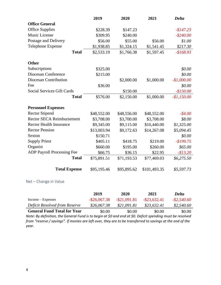|                                   | 2019        | 2020        | 2021         | <b>Delta</b> |
|-----------------------------------|-------------|-------------|--------------|--------------|
| <b>Office General</b>             |             |             |              |              |
| <b>Office Supplies</b>            | \$228.39    | \$147.23    |              | $-$147.23$   |
| <b>Music License</b>              | \$309.95    | \$240.00    |              | $-$ \$240.00 |
| Postage and Delivery              | \$56.00     | \$55.00     | \$56.00      | \$1.00       |
| <b>Telephone Expense</b>          | \$1,938.85  | \$1,324.15  | \$1,541.45   | \$217.30     |
| <b>Total</b>                      | \$2,533.19  | \$1,766.38  | \$1,597.45   | $-$168.93$   |
| <b>Other</b>                      |             |             |              |              |
| Subscriptions                     | \$325.00    |             |              | \$0.00       |
| Diocesan Conference               | \$215.00    |             |              | \$0.00       |
| Diocesan Contribution             |             | \$2,000.00  | \$1,000.00   | $-$1,000.00$ |
| Fee                               | \$36.00     |             |              | \$0.00       |
| <b>Social Services Gift Cards</b> |             | \$150.00    |              | $-$150.00$   |
| <b>Total</b>                      | \$576.00    | \$2,150.00  | \$1,000.00   | $-$1,150.00$ |
| <b>Personnel Expenses</b>         |             |             |              |              |
| <b>Rector Stipend</b>             | \$48,552.00 | \$48,556.00 | \$48,552.00  | $-$ \$4.00   |
| Rector SECA Reimbursement         | \$3,708.00  | \$3,700.00  | \$3,708.00   | \$8.00       |
| <b>Rector Health Insurance</b>    | \$9,345.00  | \$9,115.00  | \$10,440.00  | \$1,325.00   |
| <b>Rector Pension</b>             | \$13,003.94 | \$9,172.63  | \$14,267.08  | \$5,094.45   |
| Sexton                            | \$150.71    |             |              | \$0.00       |
| <b>Supply Priest</b>              | \$405.11    | \$418.75    | \$219.00     | $-$199.75$   |
| Organist                          | \$660.00    | \$195.00    | \$260.00     | \$65.00      |
| ADP Payroll Processing Fee        | \$66.75     | \$36.15     | \$22.95      | $-$13.20$    |
| <b>Total</b>                      | \$75,891.51 | \$71,193.53 | \$77,469.03  | \$6,275.50   |
| <b>Total Expense</b>              | \$95,195.46 | \$95,895.62 | \$101,493.35 | \$5,597.73   |

#### Net – Change in Value

|                                    | 2019            | 2020            | 2021            | <b>Delta</b>   |
|------------------------------------|-----------------|-----------------|-----------------|----------------|
| $Income - Express$                 | $-$ \$26,067.38 | $-$ \$21,091.81 | $-$ \$23,632.41 | $-$ \$2,540.60 |
| Deficit Resolved from Reserve      | \$26,067.38     | \$21,091.81     | \$23,632.41     | \$2,540.60     |
| <b>General Fund Total for Year</b> | \$0.00          | \$0.00          | \$0.00          | \$0.00         |

*Note: By definition, the General Fund is to begin at \$0 and end at \$0. Deficit spending must be resolved from "reserve / savings". If monies are left over, they are to be transferred to savings at the end of the year.*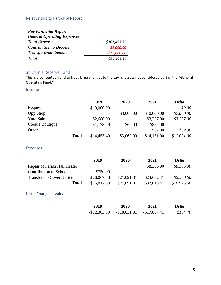| <b>For Parochial Report --</b>    |               |
|-----------------------------------|---------------|
| <b>General Operating Expenses</b> |               |
| <b>Total Expenses</b>             | \$101,493.35  |
| <b>Contribution to Diocese</b>    | $-$1,000.00$  |
| <b>Transfer from Emmanuel</b>     | $-$15,000.00$ |
| Total                             | \$85,493.35   |

#### St. John's Reserve Fund

This is a conceptual fund to track large changes to the saving assets not considered part of the "General Operating Fund."

#### Income

|                  |              | 2019        | 2020       | 2021        | <b>Delta</b> |
|------------------|--------------|-------------|------------|-------------|--------------|
| <b>Bequest</b>   |              | \$10,000.00 |            |             | \$0.00       |
| <b>Opp Shop</b>  |              |             | \$3,000.00 | \$10,000.00 | \$7,000.00   |
| <b>Yard Sale</b> |              | \$2,680.00  |            | \$3,237.00  | \$3,237.00   |
| Cookie Boutique  |              | \$1,773.49  | \$60.00    | \$852.00    |              |
| Other            |              |             |            | \$62.00     | \$62.00      |
|                  | <b>Total</b> | \$14,453.49 | \$3,060.00 | \$14,151.00 | \$11,091.00  |

#### Expenses

|                                   | 2019        | 2020        | 2021        | <b>Delta</b> |
|-----------------------------------|-------------|-------------|-------------|--------------|
| Repair of Parish Hall Heater      |             |             | \$8,386.00  | \$8,386.00   |
| Contribution to Schools           | \$750.00    |             |             |              |
| <b>Transfers to Cover Deficit</b> | \$26,067.38 | \$21,091.81 | \$23,632.41 | \$2,540.60   |
| Total                             | \$26,817.38 | \$21,091.81 | \$32,018.41 | \$10,926.60  |

Net – Change in Value

| 2019          | 2020          | 2021          | <b>Delta</b> |
|---------------|---------------|---------------|--------------|
| $-$12,363.89$ | $-$18,031.81$ | $-$17,867.41$ | \$164.40     |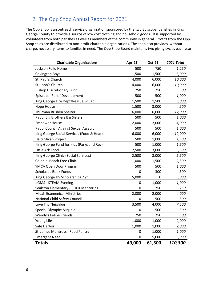# 2. The Opp Shop Annual Report for 2021

The Opp Shop is an outreach service organization sponsored by the two Episcopal parishes in King George County to provide a source of low cost clothing and household goods. It is supported by volunteers from both parishes as well as members of the community in general. Profits from the Opp Shop sales are distributed to non-profit charitable organizations. The shop also provides, without charge, necessary items to families in need. The Opp Shop Board maintains two giving cycles each year.

| <b>Charitable Organizations</b>           | Apr-21 | <b>Oct-21</b> | 2021 Total |
|-------------------------------------------|--------|---------------|------------|
| Jackson Feild Home                        | 500    | 750           | 1,250      |
| <b>Covington Boys</b>                     | 1,500  | 1,500         | 3,000      |
| St. Paul's Church                         | 4,000  | 6,000         | 10,000     |
| St. John's Church                         | 4,000  | 6,000         | 10,000     |
| <b>Bishop Discretionary Fund</b>          | 250    | 250           | 500        |
| Episcopal Relief Development              | 500    | 500           | 1,000      |
| King George Fire Dept/Rescue Squad        | 1,500  | 1,500         | 3,000      |
| <b>Hope House</b>                         | 1,500  | 3,000         | 4,500      |
| Thurman Brisben Shelter                   | 6,000  | 6,000         | 12,000     |
| Rapp. Big Brothers Big Sisters            | 500    | 500           | 1,000      |
| <b>Empower House</b>                      | 2,000  | 2,000         | 4,000      |
| Rapp. Council Against Sexual Assault      | 500    | 500           | 1,000      |
| King George Social Services (Food & Heat) | 6,000  | 6,000         | 12,000     |
| Haiti Micah Project                       | 500    | 1,000         | 1,500      |
| King George Fund for Kids (Parks and Rec) | 500    | 1,000         | 1,500      |
| Little Ark Food                           | 2,500  | 3,000         | 5,500      |
| King George Clinic (Social Services)      | 2,500  | 3,000         | 5,500      |
| <b>Colonial Beach Free Clinic</b>         | 1,000  | 1,500         | 2,500      |
| YMCA Open Door Program                    | 500    | 500           | 1,000      |
| <b>Scholastic Book Funds</b>              | 0      | 300           | 300        |
| King George HS Scholarships 2 yr          | 5,000  | 0             | 5,000      |
| <b>KGMS - STEAM Evening</b>               | 0      | 1,000         | 1,000      |
| Sealston Elementary - ROCK Mentoring      | 0      | 250           | 250        |
| <b>Micah Ecumenical Ministries</b>        | 2,000  | 2,000         | 4,000      |
| National Child Safety Council             | 0      | 500           | 500        |
| Love Thy Neighbor                         | 3,500  | 4,000         | 7,500      |
| Special Olympics Virginia                 | 0      | 500           | 500        |
| Wendy's Feline Friends                    | 250    | 250           | 500        |
| Young Life                                | 1,000  | 1,000         | 2,000      |
| Safe Harbor                               | 1,000  | 1,000         | 2,000      |
| St. James Montross - Food Pantry          | 0      | 1,000         | 1,000      |
| <b>Emergent Need</b>                      | 0      | 5,000         | 5,000      |
| <b>Totals</b>                             | 49,000 | 61,300        | 110,300    |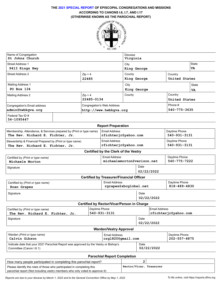## **THE 2021 SPECIAL REPORT OF EPISCOPAL CONGREGATIONS AND MISSIONS ACCORDING TO CANONS I.6, I.7, AND I.17**



| Name of Congregation<br>St Johns Church | Diocese<br>Virginia               |                        |         |               |              |
|-----------------------------------------|-----------------------------------|------------------------|---------|---------------|--------------|
| <b>Street Address 1</b>                 |                                   | City                   |         |               | <b>State</b> |
| 9413 Kings Hwy                          |                                   | King George            |         |               | VA           |
| <b>Street Address 2</b>                 | $Zip + 4$                         | County                 | Country |               |              |
|                                         | 22485                             | King George            |         | United States |              |
| <b>Mailing Address 1</b>                |                                   | City                   |         |               | <b>State</b> |
| PO Box 134                              |                                   | King George            |         |               | VA           |
| <b>Mailing Address 2</b>                | $Zip + 4$                         | County                 |         | Country       |              |
|                                         | 22485-0134                        |                        |         | United States |              |
| Congregation's Email address            | <b>Congregation's Web Address</b> |                        |         | Phone #       |              |
| admin@hwbkqva.orq                       |                                   | http://www.hwbkqva.org |         | 540-775-3635  |              |
| Federal Tax ID #<br>54-1095447          |                                   |                        |         |               |              |

| <b>Report Preparation</b>                                           |                      |               |  |  |  |
|---------------------------------------------------------------------|----------------------|---------------|--|--|--|
| Membership, Attendance, & Services prepared by (Print or type name) | Email Address        | Daytime Phone |  |  |  |
| The Rev. Richard E. Fichter, Jr.                                    | rfichterir@yahoo.com | 540-931-3131  |  |  |  |
| Stewardship & Financial Prepared by (Print or type name)            | Email Address        | Daytime Phone |  |  |  |
| The Rev. Richard E. Fichter, Jr.                                    | rfichterir@yahoo.com | 540-931-3131  |  |  |  |

|  |  | <b>Certified by the Clerk of the Vestry</b> |
|--|--|---------------------------------------------|
|--|--|---------------------------------------------|

|                                                      | <b>Position by the Oldin Of the Vestiv</b> |                            |                               |
|------------------------------------------------------|--------------------------------------------|----------------------------|-------------------------------|
| Certified by (Print or type name)<br>Michaele Morton | Email Address                              | michaelemorton@verizon.net | Daytime Phone<br>540-775-7222 |
| Signature                                            |                                            | Date                       |                               |
|                                                      |                                            | 02/22/2022                 |                               |
| <b>Certified by Treasurer/Financial Officer</b>      |                                            |                            |                               |

| Certified by (Print or type name)<br>Roan Grapes | Email Address<br>rgrapes@sbcglobal.net | Daytime Phone<br>818-489-4830 |  |
|--------------------------------------------------|----------------------------------------|-------------------------------|--|
| Signature                                        | Date<br>02/22/2022                     |                               |  |
| Certified by Rector/Vicar/Person in Charge       |                                        |                               |  |

| Certified by (Print or type name) | Daytime Phone |                    | Email Address        |
|-----------------------------------|---------------|--------------------|----------------------|
| The Rev. Richard E. Fichter, Jr.  | 540-931-3131  |                    | rfichterjr@yahoo.com |
| Signature                         |               | Date<br>02/22/2022 |                      |
| <b>Warden/Vestry Approval</b>     |               |                    |                      |

| Warden (Print or type name)                                                                                     | Email Address     |                    | Daytime Phone |
|-----------------------------------------------------------------------------------------------------------------|-------------------|--------------------|---------------|
| Calvin Gibson                                                                                                   | crq1820@qmail.com |                    | 202-557-6875  |
| Indicate date that your 2021 Parochial Report was approved by the Vestry or Bishop's<br>Committee (Canon I.6.1) |                   | Date<br>02/22/2022 |               |

| <b>Parochial Report Completion</b>                                            |                         |  |  |
|-------------------------------------------------------------------------------|-------------------------|--|--|
| How many people participated in completing this parochial report?             |                         |  |  |
| Please identify the roles of those who participated in completing this        | Rector/Vicar, Treasurer |  |  |
| parochial report (Not including vestry members who only voted to approve it): |                         |  |  |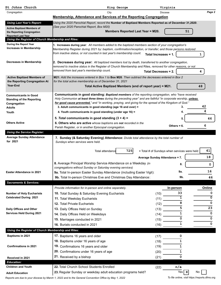| St Johns Church                                                 | King George                                                                                                               | Virginia                                     |         |
|-----------------------------------------------------------------|---------------------------------------------------------------------------------------------------------------------------|----------------------------------------------|---------|
| Congregation                                                    | City                                                                                                                      | <b>Diocese</b>                               | Page 2  |
|                                                                 | Membership, Attendance and Services of the Reporting Congregation                                                         |                                              |         |
| <b>Using Last Year's Report:</b>                                | Using the 2020 Parochial Report, record the Number of Baptized Members Reported as of December 31,2020.                   |                                              |         |
| <b>Active Baptized Members of</b>                               | (See your 2020 Parochial Report, Box M20)                                                                                 |                                              |         |
| the Reporting Congregation<br><b>Reported Last Year</b>         | Members Reported Last Year = M20.                                                                                         | 51                                           |         |
| Using the Register of Church Membership and Rites:              |                                                                                                                           |                                              |         |
| During the Report Year                                          | 1. Increases during year: All members added to the baptized members section of your congregation's                        |                                              |         |
| <b>Increases in Membership</b>                                  | Membership Register during 2021 by: baptism, confirmation/reception, or transfer; and those persons restored              |                                              |         |
|                                                                 | from inactive status, or not counted in last year's membership count.                                                     | Total Increases = 1.                         | 1       |
| Decreases in Membership                                         | [2. Decreases during year: All baptized members lost by death, transferred to another congregation,                       |                                              |         |
|                                                                 | removed to inactive status in the Register of Church Membership and Rites, removed for other reasons, or not              |                                              |         |
|                                                                 | removed from last year's membership count.                                                                                | <b>Total Decreases = 2.</b>                  | 4       |
| <b>Active Baptized Members of</b>                               | <b>M21:</b> Add the increases entered in Box 1 to <b>Box M20</b> . Then subtract the decreases entered in Box 2           |                                              |         |
| the Reporting Congregation At                                   | for the total active membership as of December 31, 2021                                                                   |                                              |         |
| Year-End                                                        | Total Active Baptized Members (end of report year) = M21.                                                                 |                                              | 48      |
|                                                                 | Communicants in good standing: Baptized members of the reporting congregation, who "have received                         |                                              |         |
| <b>Communicants in Good</b><br><b>Standing of the Reporting</b> | Holy Communion at least three times during the preceding year" and are faithful "in corporate worship, <i>unless</i>      |                                              |         |
| Congregation                                                    | for good cause prevented," and "in working, praying, and giving for the spread of the Kingdom of God."                    |                                              |         |
| <b>Adults</b>                                                   | 3. Adult communicants in good standing (age 16 and over) =                                                                | 3.                                           | 42<br>4 |
| Youth                                                           | 4. Youth communicants in good standing (under age 16) =                                                                   |                                              |         |
|                                                                 | 5. Total communicants in good standing $(3 + 4) =$                                                                        | 5.                                           | 46      |
| <b>Others Active</b>                                            | 6. Others who are active whose baptisms are not recorded in the<br>Parish Register, or in another Episcopal congregation. | Others = $6$ .                               | 6       |
| <b>Using the Service Register:</b>                              |                                                                                                                           |                                              |         |
| <b>Average Sunday Attendance</b>                                | 7. Sunday (& Saturday Evening) Attendance: Divide total attendance by the total number of                                 |                                              |         |
| for 2021                                                        | Sundays when services were held.                                                                                          |                                              |         |
|                                                                 |                                                                                                                           |                                              |         |
|                                                                 | 725<br>Total attendance                                                                                                   | + Total # of Sundays when services were held | 41      |
|                                                                 |                                                                                                                           | Average Sunday Attendance = 7.               | 18      |
|                                                                 | 8. Average Principal Worship Service Attendance on a Weekday (in                                                          | 8.                                           | 0       |
|                                                                 | congregations without Sunday or Saturday evening services)                                                                | 9a.                                          | 16      |
| <b>Easter Attendance in 2021</b>                                | 9a. Total In-person Easter Sunday Attendance (including Easter Vigil):                                                    | 9b.                                          | 46      |
| <b>Sacraments &amp; Services:</b>                               | 9b. Total In-person Christmas Eve and Christmas Day Attendance:                                                           |                                              |         |
|                                                                 | Provide information for in-person and online separately.                                                                  | In-person                                    | Online  |
| <b>Number of Holy Eucharists</b>                                | 10. Total Sunday & Saturday Evening Eucharists                                                                            | 33                                           | 0       |
| <b>Celebrated During 2021</b>                                   | 11. Total Weekday Eucharists                                                                                              | (10)<br>ī<br>$(11)$ $\overline{\phantom{0}}$ | 0       |
|                                                                 | 12. Total Private Eucharists                                                                                              | 8<br>(12)                                    | 0       |
| Daily Offices and Other                                         | 13. Daily Offices Held on Sunday                                                                                          | $\frac{1}{5}$<br>(13)                        | 23      |
| <b>Services Held During 2021</b>                                | 14. Daily Offices Held on Weekdays                                                                                        | $\mathbf{1}$<br>(14)                         | 0       |
|                                                                 | 15. Marriages conducted in 2021                                                                                           | 0<br>(15)                                    | 0       |
|                                                                 | 16. Burials conducted in 2021                                                                                             | $\mathbf{1}$<br>$(16)$ $_{-}$                | 0       |
| Using the Register of Church Membership and Rites:              |                                                                                                                           |                                              |         |
| <b>Baptisms in 2021</b>                                         | 17. Baptisms 16 years and older                                                                                           | 0<br>(17)                                    |         |
|                                                                 | 18. Baptisms under 16 years of age                                                                                        | (18)<br>1                                    |         |
| <b>Confirmations in 2021</b>                                    | 19. Confirmations 16 years and older                                                                                      | (19)<br>1                                    |         |
|                                                                 | 20. Confirmations under 16 years of age                                                                                   | 1<br>(20)                                    |         |
| Received in 2021                                                | 21. Received by a bishop                                                                                                  | 0<br>(21)                                    |         |
| <b>Education:</b>                                               |                                                                                                                           |                                              |         |
| <b>Children and Youth</b>                                       | 22. Total Church School Students Enrolled                                                                                 | n/a<br>(22)                                  |         |
| <b>Adult Education</b>                                          | 23. Regular Sunday or weekday adult education programs held?                                                              | Yes <b>X</b>                                 | No      |
|                                                                 |                                                                                                                           |                                              |         |

*Reports are due to your diocese by March 1, 2022 and to the General Convention Office by May 1, 2022 To file online, visit* https://reports.dfms.org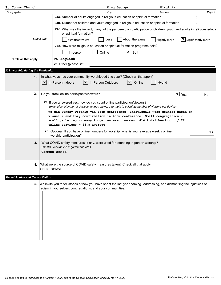| St Johns Church                           |                                                            | King George                                                                                                                                                                                                                                                                                                                                                                                                        | Virginia               |                        |
|-------------------------------------------|------------------------------------------------------------|--------------------------------------------------------------------------------------------------------------------------------------------------------------------------------------------------------------------------------------------------------------------------------------------------------------------------------------------------------------------------------------------------------------------|------------------------|------------------------|
| Congregation                              |                                                            | City                                                                                                                                                                                                                                                                                                                                                                                                               | <b>Diocese</b>         | Page 3                 |
|                                           |                                                            | 24a. Number of adults engaged in religious education or spiritual formation                                                                                                                                                                                                                                                                                                                                        |                        | 5                      |
|                                           |                                                            | 24b. Number of children and youth engaged in religious education or spiritual formation                                                                                                                                                                                                                                                                                                                            |                        | 0                      |
|                                           | or spiritual formation?                                    | 24c. What was the impact, if any, of the pandemic on participation of children, youth and adults in religious educa                                                                                                                                                                                                                                                                                                |                        |                        |
| Select one                                | Significantly less                                         | About the same<br>Less                                                                                                                                                                                                                                                                                                                                                                                             | Slightly more          | $X$ Significantly more |
|                                           |                                                            | 24d. How were religious education or spiritual formation programs held?                                                                                                                                                                                                                                                                                                                                            |                        |                        |
|                                           | In-person                                                  | $\mathbf{X}$ Both<br>Online                                                                                                                                                                                                                                                                                                                                                                                        |                        |                        |
| Circle all that apply                     | 25. English<br>26. Other (please list)                     |                                                                                                                                                                                                                                                                                                                                                                                                                    |                        |                        |
| 2021 worship during the Pandemic:         |                                                            |                                                                                                                                                                                                                                                                                                                                                                                                                    |                        |                        |
| 1.                                        |                                                            | In what ways has your community worshipped this year? (Check all that apply)                                                                                                                                                                                                                                                                                                                                       |                        |                        |
|                                           | In-Person Indoors<br>$\mathbf{x}$<br>$\mathbf{x}$          | In-Person Outdoors<br>  x  <br>Online                                                                                                                                                                                                                                                                                                                                                                              | Hybrid                 |                        |
| 2.                                        | Do you track online participants/viewers?                  |                                                                                                                                                                                                                                                                                                                                                                                                                    | $\vert x \vert$<br>Yes | No                     |
|                                           | online services = $18.8$ average                           | 2a. If you answered yes, how do you count online participation/viewers?<br>(examples: Number of devices, unique views, a formula to calculate number of viewers per device)<br>We did Sunday worship via Zoom conference. Individuals were counted based on<br>visual / auditory confirmation in Zoom conference. Small congregation /<br>small gathering -- easy to get an exact number. 414 total headcount / 22 |                        |                        |
|                                           | worship participation?                                     | 2b. Optional: If you have online numbers for worship, what is your average weekly online                                                                                                                                                                                                                                                                                                                           |                        | 19                     |
| 3.                                        | (masks, vaccination requirement, etc.)<br>Common sense     | What COVID safety measures, if any, were used for attending in-person worship?                                                                                                                                                                                                                                                                                                                                     |                        |                        |
| 4.                                        | CDC; State                                                 | What were the source of COVID safety measures taken? Check all that apply:                                                                                                                                                                                                                                                                                                                                         |                        |                        |
| <b>Racial Justice and Reconciliation:</b> |                                                            |                                                                                                                                                                                                                                                                                                                                                                                                                    |                        |                        |
|                                           | racism in yourselves, congregations, and your communities. | 5. We invite you to tell stories of how you have spent the last year naming, addressing, and dismantling the injustices of                                                                                                                                                                                                                                                                                         |                        |                        |
|                                           |                                                            |                                                                                                                                                                                                                                                                                                                                                                                                                    |                        |                        |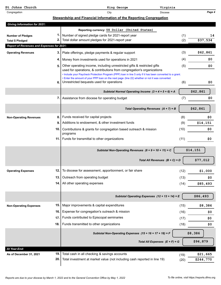| St Johns Church                                                      |       | Virginia<br>King George                                                                                                                           |              |                       |
|----------------------------------------------------------------------|-------|---------------------------------------------------------------------------------------------------------------------------------------------------|--------------|-----------------------|
| Congregation                                                         |       | City<br><b>Diocese</b>                                                                                                                            |              | Page 4                |
|                                                                      |       | Stewardship and Financial Information of the Reporting Congregation                                                                               |              |                       |
| <b>Giving Information for 2021:</b>                                  |       |                                                                                                                                                   |              |                       |
|                                                                      |       | Reporting currency: US Dollar (United States)                                                                                                     |              |                       |
| <b>Number of Pledges</b>                                             | 1. I  | Number of signed pledge cards for 2021-report year                                                                                                | (1)          | 14                    |
| <b>Total \$ Pledged</b><br>Report of Revenues and Expenses for 2021: | 2.1   | Total dollar amount pledges for 2021-report year                                                                                                  | (2)          | \$37,534              |
|                                                                      |       |                                                                                                                                                   |              |                       |
| <b>Operating Revenues</b>                                            | 3. I  | Plate offerings, pledge payments & regular support                                                                                                | (3)          | \$62,861              |
|                                                                      |       | 4.   Money from investments used for operations in 2021                                                                                           | (4)          | \$0                   |
|                                                                      | 5.1   | Other operating income, including unrestricted gifts & restricted gifts<br>used for operations, & contributions from congregation's organizations | (5)          | \$0                   |
|                                                                      |       | . Include your Paycheck Protection Program (PPP) loan in line 5 only if it has been converted to a grant.                                         |              |                       |
|                                                                      | 6. I  | • Enter the amount of your PPP loan on the next page (line 22) whether or not it was converted.<br>Unrestricted bequests used for operations      | (6)          | \$0                   |
|                                                                      |       |                                                                                                                                                   |              |                       |
|                                                                      |       | Subtotal Normal Operating Income $(3 + 4 + 5 + 6) = A$                                                                                            |              | \$62,861              |
|                                                                      |       | 7. Assistance from diocese for operating budget                                                                                                   | (7)          | \$0                   |
|                                                                      |       | Total Operating Revenues $(A + 7) = B$                                                                                                            |              | \$62,861              |
|                                                                      |       |                                                                                                                                                   |              |                       |
| <b>Non-Operating Revenues</b>                                        | 8. I  | Funds received for capital projects                                                                                                               | (8)          | \$0                   |
|                                                                      | 9     | Additions to endowment, & other investment funds                                                                                                  | (9)          | \$14,151              |
|                                                                      | 10. l | Contributions & grants for congregation based outreach & mission<br>programs                                                                      | (10)         | \$0                   |
|                                                                      |       | 11. Funds for transmittal to other organizations                                                                                                  | (11)         | \$0                   |
|                                                                      |       | Subtotal Non-Operating Revenues $(8 + 9 + 10 + 11) = C$                                                                                           |              | \$14,151              |
|                                                                      |       |                                                                                                                                                   |              |                       |
|                                                                      |       | Total All Revenues $(B + C) = D$                                                                                                                  |              | \$77,012              |
| <b>Operating Expenses</b>                                            | 12.   | To diocese for assessment, apportionment, or fair share                                                                                           | (12)         | \$1,000               |
|                                                                      | 13.   | Outreach from operating budget                                                                                                                    | (13)         | \$0                   |
|                                                                      | 14.   | All other operating expenses                                                                                                                      | (14)         | \$85,493              |
|                                                                      |       |                                                                                                                                                   |              |                       |
|                                                                      |       | Subtotal Operating Expenses (12 + 13 + 14) = E                                                                                                    |              | \$86,493              |
|                                                                      |       |                                                                                                                                                   |              |                       |
| <b>Non-Operating Expenses</b>                                        | 15.   | Major improvements & capital expenditures                                                                                                         | (15)         | \$8,386               |
|                                                                      | 16.   | Expense for congregation's outreach & mission                                                                                                     | (16)         | \$0                   |
|                                                                      | 17.   | Funds contributed to Episcopal seminaries                                                                                                         | (17)         | \$0                   |
|                                                                      | 18.   | Funds transmitted to other organizations                                                                                                          | (18)         | \$0                   |
|                                                                      |       | Subtotal Non-Operating Expenses (15 + 16 + 17 + 18) = F                                                                                           |              | \$8,386               |
|                                                                      |       | Total All Expenses $(E + F) = G$                                                                                                                  |              | \$94,879              |
|                                                                      |       |                                                                                                                                                   |              |                       |
| At Year-End:                                                         | 19    | Total cash in all checking & savings accounts                                                                                                     |              |                       |
| As of December 31, 2021                                              | 20    | Total investment at market value (not including cash reported in line 19)                                                                         | (19)<br>(20) | \$21,665<br>\$244,770 |
|                                                                      |       |                                                                                                                                                   |              |                       |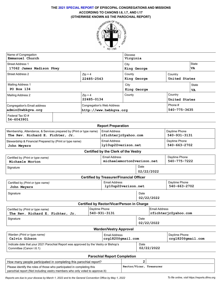## **THE 2021 SPECIAL REPORT OF EPISCOPAL CONGREGATIONS AND MISSIONS ACCORDING TO CANONS I.6, I.7, AND I.17**



| Name of Congregation<br>Emmanuel Church | Diocese<br>Virginia               |                                        |               |              |
|-----------------------------------------|-----------------------------------|----------------------------------------|---------------|--------------|
| <b>Street Address 1</b>                 |                                   | City                                   |               | <b>State</b> |
| 17062 James Madison Pkwy                |                                   | King George                            |               | VA           |
| Street Address 2                        | $Zip + 4$                         | County                                 | Country       |              |
|                                         | 22485-2543                        | King George                            | United States |              |
| <b>Mailing Address 1</b>                |                                   | City                                   |               | <b>State</b> |
| PO Box 134                              |                                   | King George                            |               | <b>VA</b>    |
| <b>Mailing Address 2</b>                | $Zip + 4$                         | County                                 | Country       |              |
|                                         | 22485-0134                        |                                        | United States |              |
| Congregation's Email address            | <b>Congregation's Web Address</b> |                                        | Phone #       |              |
| admin@hwbkqva.orq                       |                                   | 540-775-3635<br>http://www.hwbkgva.org |               |              |
| Federal Tax ID#<br>54-6043901           |                                   |                                        |               |              |

| <b>Report Preparation</b>                                           |                      |               |  |  |
|---------------------------------------------------------------------|----------------------|---------------|--|--|
| Membership, Attendance, & Services prepared by (Print or type name) | Email Address        | Daytime Phone |  |  |
| The Rev. Richard E. Fichter, Jr.                                    | rfichterir@yahoo.com | 540-931-3131  |  |  |
| Stewardship & Financial Prepared by (Print or type name)            | Email Address        | Daytime Phone |  |  |
| John Meyers                                                         | ly10up2@verizon.net  | 540-663-2702  |  |  |
| Certified by the Clerk of the Vestry                                |                      |               |  |  |

| Certified by (Print or type name)<br>Michaele Morton | Email Address<br>michaelemorton@verizon.net |            | Daytime Phone<br>540-775-7222 |
|------------------------------------------------------|---------------------------------------------|------------|-------------------------------|
| Signature                                            |                                             | Date       |                               |
|                                                      |                                             | 02/22/2022 |                               |

|                                                  | <b>Certified by Treasurer/Financial Officer</b> |                    |                               |  |
|--------------------------------------------------|-------------------------------------------------|--------------------|-------------------------------|--|
| Certified by (Print or type name)<br>John Meyers | Email Address<br>ly10up2@verizon.net            |                    | Daytime Phone<br>540-663-2702 |  |
| Signature                                        |                                                 | Date<br>02/22/2022 |                               |  |
|                                                  | Certified by Rector/Vicar/Person in Charge      |                    |                               |  |
| Certified by (Print or type name)                | Daytime Phone                                   |                    | Email Address                 |  |

| 540-931-3131                       | rfichterjr@yahoo.com               |
|------------------------------------|------------------------------------|
|                                    | Date<br>02/22/2022                 |
| <b>Warden/Vestry Approval</b>      |                                    |
| Email Address<br>crq1820@qmail.com | Daytime Phone<br>crq1820@qmail.com |
|                                    | .                                  |

| Indicate date that your 2021 Parochial Report was approved by the Vestry or Bishop's<br>Date<br>02/22/2022<br>Committee (Canon I.6.1) |
|---------------------------------------------------------------------------------------------------------------------------------------|
|---------------------------------------------------------------------------------------------------------------------------------------|

| <b>Parochial Report Completion</b>                                            |                         |  |  |
|-------------------------------------------------------------------------------|-------------------------|--|--|
| How many people participated in completing this parochial report?             |                         |  |  |
| Please identify the roles of those who participated in completing this        | Rector/Vicar, Treasurer |  |  |
| parochial report (Not including vestry members who only voted to approve it): |                         |  |  |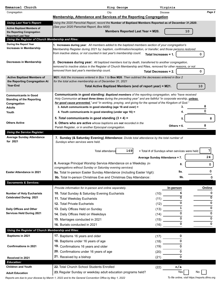| Emmanuel Church                                                                 | King George                                                                                                                                                                                                        | Virginia                                     |        |
|---------------------------------------------------------------------------------|--------------------------------------------------------------------------------------------------------------------------------------------------------------------------------------------------------------------|----------------------------------------------|--------|
| Congregation                                                                    | City                                                                                                                                                                                                               | <b>Diocese</b>                               | Page 2 |
|                                                                                 | Membership, Attendance and Services of the Reporting Congregation                                                                                                                                                  |                                              |        |
| <b>Using Last Year's Report:</b>                                                | Using the 2020 Parochial Report, record the Number of Baptized Members Reported as of December 31,2020.                                                                                                            |                                              |        |
| <b>Active Baptized Members of</b>                                               | (See your 2020 Parochial Report, Box M20)                                                                                                                                                                          |                                              |        |
| the Reporting Congregation                                                      | Members Reported Last Year = M20.                                                                                                                                                                                  | 10                                           |        |
| <b>Reported Last Year</b><br>Using the Register of Church Membership and Rites: |                                                                                                                                                                                                                    |                                              |        |
| During the Report Year                                                          | 1. Increases during year: All members added to the baptized members section of your congregation's                                                                                                                 |                                              |        |
| <b>Increases in Membership</b>                                                  | Membership Register during 2021 by: baptism, confirmation/reception, or transfer; and those persons restored                                                                                                       |                                              |        |
|                                                                                 | from inactive status, or not counted in last year's membership count.                                                                                                                                              | Total Increases = 1.                         | 0      |
|                                                                                 |                                                                                                                                                                                                                    |                                              |        |
| Decreases in Membership                                                         | 2. Decreases during year: All baptized members lost by death, transferred to another congregation,<br>removed to inactive status in the Register of Church Membership and Rites, removed for other reasons, or not |                                              |        |
|                                                                                 | removed from last year's membership count.                                                                                                                                                                         | <b>Total Decreases = 2.</b>                  | 0      |
|                                                                                 |                                                                                                                                                                                                                    |                                              |        |
| <b>Active Baptized Members of</b><br>the Reporting Congregation At              | M21: Add the increases entered in Box 1 to Box M20. Then subtract the decreases entered in Box 2<br>for the total active membership as of December 31, 2021                                                        |                                              |        |
| Year-End                                                                        | Total Active Baptized Members (end of report year) = M21.                                                                                                                                                          |                                              | 10     |
|                                                                                 |                                                                                                                                                                                                                    |                                              |        |
| <b>Communicants in Good</b>                                                     | Communicants in good standing: Baptized members of the reporting congregation, who "have received                                                                                                                  |                                              |        |
| <b>Standing of the Reporting</b>                                                | Holy Communion at least three times during the preceding year" and are faithful "in corporate worship, <i>unless</i>                                                                                               |                                              |        |
| Congregation<br><b>Adults</b>                                                   | for good cause prevented," and "in working, praying, and giving for the spread of the Kingdom of God."<br>3. Adult communicants in good standing (age 16 and over) =                                               | 3.                                           | 8      |
| Youth                                                                           | 4. Youth communicants in good standing (under age 16) =                                                                                                                                                            |                                              | 0      |
|                                                                                 | 5. Total communicants in good standing $(3 + 4) =$                                                                                                                                                                 |                                              | 8      |
| <b>Others Active</b>                                                            | 6. Others who are active whose baptisms are not recorded in the                                                                                                                                                    | 5.                                           |        |
|                                                                                 | Parish Register, or in another Episcopal congregation.                                                                                                                                                             | Others = $6$ .                               | 8      |
| <b>Using the Service Register:</b>                                              |                                                                                                                                                                                                                    |                                              |        |
| <b>Average Sunday Attendance</b>                                                | 7. Sunday (& Saturday Evening) Attendance: Divide total attendance by the total number of                                                                                                                          |                                              |        |
| for 2021                                                                        | Sundays when services were held.                                                                                                                                                                                   |                                              |        |
|                                                                                 |                                                                                                                                                                                                                    |                                              |        |
|                                                                                 | 169<br>Total attendance                                                                                                                                                                                            | + Total # of Sundays when services were held | 7      |
|                                                                                 |                                                                                                                                                                                                                    | Average Sunday Attendance = 7.               | 24     |
|                                                                                 | 8. Average Principal Worship Service Attendance on a Weekday (in                                                                                                                                                   | 8.                                           | 0      |
|                                                                                 | congregations without Sunday or Saturday evening services)                                                                                                                                                         |                                              |        |
| <b>Easter Attendance in 2021</b>                                                | 9a. Total In-person Easter Sunday Attendance (including Easter Vigil):                                                                                                                                             | 9a.                                          | 0      |
|                                                                                 | 9b. Total In-person Christmas Eve and Christmas Day Attendance:                                                                                                                                                    | 9b.                                          | 0      |
| <b>Sacraments &amp; Services:</b>                                               |                                                                                                                                                                                                                    |                                              |        |
|                                                                                 | Provide information for in-person and online separately.                                                                                                                                                           | In-person                                    | Online |
| <b>Number of Holy Eucharists</b>                                                | 10. Total Sunday & Saturday Evening Eucharists                                                                                                                                                                     | (10)                                         | 0      |
| <b>Celebrated During 2021</b>                                                   | 11. Total Weekday Eucharists                                                                                                                                                                                       | $\overline{0}$<br>(11)                       | 0      |
|                                                                                 | 12. Total Private Eucharists                                                                                                                                                                                       | 0<br>(12)                                    | 0      |
| Daily Offices and Other                                                         | 13. Daily Offices Held on Sunday                                                                                                                                                                                   | 1<br>(13)                                    | 0      |
| <b>Services Held During 2021</b>                                                | 14. Daily Offices Held on Weekdays                                                                                                                                                                                 | 0<br>(14)                                    | 0      |
|                                                                                 | 15. Marriages conducted in 2021                                                                                                                                                                                    | 0<br>(15)                                    | 0      |
|                                                                                 | 16. Burials conducted in 2021                                                                                                                                                                                      | $\mathbf 0$<br>(16)                          | 0      |
| Using the Register of Church Membership and Rites:                              |                                                                                                                                                                                                                    |                                              |        |
| Baptisms in 2021                                                                | 17. Baptisms 16 years and older                                                                                                                                                                                    | 0<br>(17)                                    |        |
|                                                                                 |                                                                                                                                                                                                                    |                                              |        |
| <b>Confirmations in 2021</b>                                                    | 18. Baptisms under 16 years of age                                                                                                                                                                                 | 0<br>(18)                                    |        |
|                                                                                 | 19. Confirmations 16 years and older                                                                                                                                                                               | (19)<br>0                                    |        |
|                                                                                 | 20. Confirmations under 16 years of age                                                                                                                                                                            | 0<br>(20)                                    |        |
| Received in 2021                                                                | 21. Received by a bishop                                                                                                                                                                                           | 0<br>(21)                                    |        |
| <b>Education:</b>                                                               |                                                                                                                                                                                                                    |                                              |        |
| <b>Children and Youth</b>                                                       | 22. Total Church School Students Enrolled                                                                                                                                                                          | n/a<br>(22)                                  |        |
| <b>Adult Education</b>                                                          | 23. Regular Sunday or weekday adult education programs held?                                                                                                                                                       | Yes<br>No                                    |        |

*Reports are due to your diocese by March 1, 2022 and to the General Convention Office by May 1, 2022 To file online, visit* https://reports.dfms.org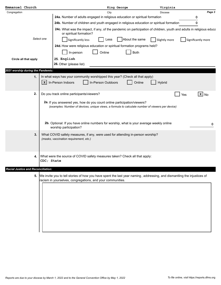| Emmanuel Church                    | King George                                                                                                                                                                           | Virginia                            |
|------------------------------------|---------------------------------------------------------------------------------------------------------------------------------------------------------------------------------------|-------------------------------------|
| Congregation                       | City                                                                                                                                                                                  | Page 3<br><b>Diocese</b>            |
|                                    | 24a. Number of adults engaged in religious education or spiritual formation                                                                                                           | 0                                   |
|                                    | 24b. Number of children and youth engaged in religious education or spiritual formation                                                                                               | 0                                   |
|                                    | 24c. What was the impact, if any, of the pandemic on participation of children, youth and adults in religious educa<br>or spiritual formation?                                        |                                     |
|                                    | Select one<br>About the same<br>Significantly less<br>Less                                                                                                                            | Significantly more<br>Slightly more |
|                                    | 24d. How were religious education or spiritual formation programs held?                                                                                                               |                                     |
|                                    | Online<br>Both<br>In-person                                                                                                                                                           |                                     |
| Circle all that apply              | 25. English                                                                                                                                                                           |                                     |
|                                    | 26. Other (please list)                                                                                                                                                               |                                     |
| 2021 worship during the Pandemic:  |                                                                                                                                                                                       |                                     |
| 1.                                 | In what ways has your community worshipped this year? (Check all that apply)                                                                                                          |                                     |
|                                    | In-Person Indoors<br>In-Person Outdoors<br>Online<br>$\mathbf{x}$                                                                                                                     | Hybrid                              |
|                                    |                                                                                                                                                                                       |                                     |
| 2.                                 | Do you track online participants/viewers?                                                                                                                                             | $\mathbf{x}$ No<br>Yes              |
|                                    | 2a. If you answered yes, how do you count online participation/viewers?                                                                                                               |                                     |
|                                    | (examples: Number of devices, unique views, a formula to calculate number of viewers per device)                                                                                      |                                     |
|                                    |                                                                                                                                                                                       |                                     |
|                                    |                                                                                                                                                                                       |                                     |
|                                    | 2b. Optional: If you have online numbers for worship, what is your average weekly online<br>worship participation?                                                                    | 0                                   |
| 3.                                 | What COVID safety measures, if any, were used for attending in-person worship?                                                                                                        |                                     |
|                                    | (masks, vaccination requirement, etc.)                                                                                                                                                |                                     |
|                                    |                                                                                                                                                                                       |                                     |
|                                    |                                                                                                                                                                                       |                                     |
| 4.                                 | What were the source of COVID safety measures taken? Check all that apply:<br>CDC; State                                                                                              |                                     |
|                                    |                                                                                                                                                                                       |                                     |
| Racial Justice and Reconciliation: |                                                                                                                                                                                       |                                     |
| 5.                                 | We invite you to tell stories of how you have spent the last year naming, addressing, and dismantling the injustices of<br>racism in yourselves, congregations, and your communities. |                                     |
|                                    |                                                                                                                                                                                       |                                     |
|                                    |                                                                                                                                                                                       |                                     |
|                                    |                                                                                                                                                                                       |                                     |
|                                    |                                                                                                                                                                                       |                                     |
|                                    |                                                                                                                                                                                       |                                     |
|                                    |                                                                                                                                                                                       |                                     |
|                                    |                                                                                                                                                                                       |                                     |
|                                    |                                                                                                                                                                                       |                                     |
|                                    |                                                                                                                                                                                       |                                     |